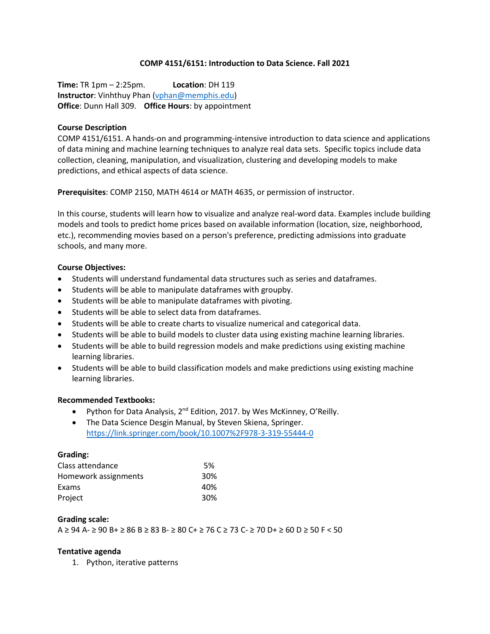### **COMP 4151/6151: Introduction to Data Science. Fall 2021**

**Time:** TR 1pm – 2:25pm. **Location**: DH 119 **Instructor**: Vinhthuy Phan [\(vphan@memphis.edu\)](mailto:vphan@memphis.edu) **Office**: Dunn Hall 309. **Office Hours**: by appointment

### **Course Description**

COMP 4151/6151. A hands-on and programming-intensive introduction to data science and applications of data mining and machine learning techniques to analyze real data sets. Specific topics include data collection, cleaning, manipulation, and visualization, clustering and developing models to make predictions, and ethical aspects of data science.

**Prerequisites**: COMP 2150, MATH 4614 or MATH 4635, or permission of instructor.

In this course, students will learn how to visualize and analyze real-word data. Examples include building models and tools to predict home prices based on available information (location, size, neighborhood, etc.), recommending movies based on a person's preference, predicting admissions into graduate schools, and many more.

### **Course Objectives:**

- Students will understand fundamental data structures such as series and dataframes.
- Students will be able to manipulate dataframes with groupby.
- Students will be able to manipulate dataframes with pivoting.
- Students will be able to select data from dataframes.
- Students will be able to create charts to visualize numerical and categorical data.
- Students will be able to build models to cluster data using existing machine learning libraries.
- Students will be able to build regression models and make predictions using existing machine learning libraries.
- Students will be able to build classification models and make predictions using existing machine learning libraries.

# **Recommended Textbooks:**

- Python for Data Analysis, 2<sup>nd</sup> Edition, 2017. by Wes McKinney, O'Reilly.
- The Data Science Desgin Manual, by Steven Skiena, Springer. <https://link.springer.com/book/10.1007%2F978-3-319-55444-0>

# **Grading:**

| Class attendance     | .5%             |
|----------------------|-----------------|
| Homework assignments | 30%             |
| Exams                | 40%             |
| Project              | 30 <sup>%</sup> |

#### **Grading scale:**

A ≥ 94 A- ≥ 90 B+ ≥ 86 B ≥ 83 B- ≥ 80 C+ ≥ 76 C ≥ 73 C- ≥ 70 D+ ≥ 60 D ≥ 50 F < 50

# **Tentative agenda**

1. Python, iterative patterns